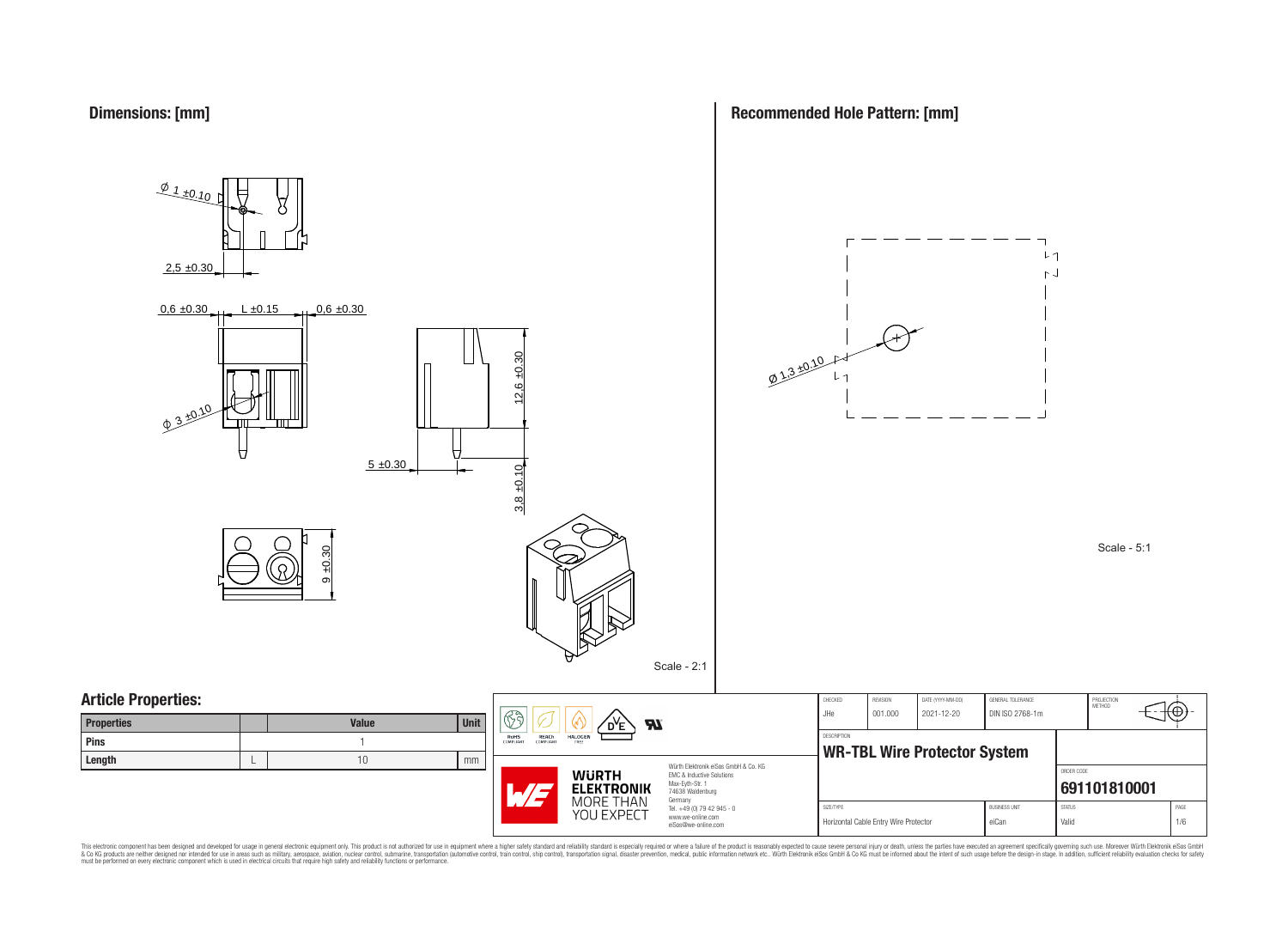



**Recommended Hole Pattern: [mm]**

Horizontal Cable Entry Wire Protector eiCan eiCan Valid Valid Valid 1/6

This electronic component has been designed and developed for usage in general electronic equipment only. This product is not authorized for subserved requipment where a higher selection equipment where a higher selection

eiSos@we-online.com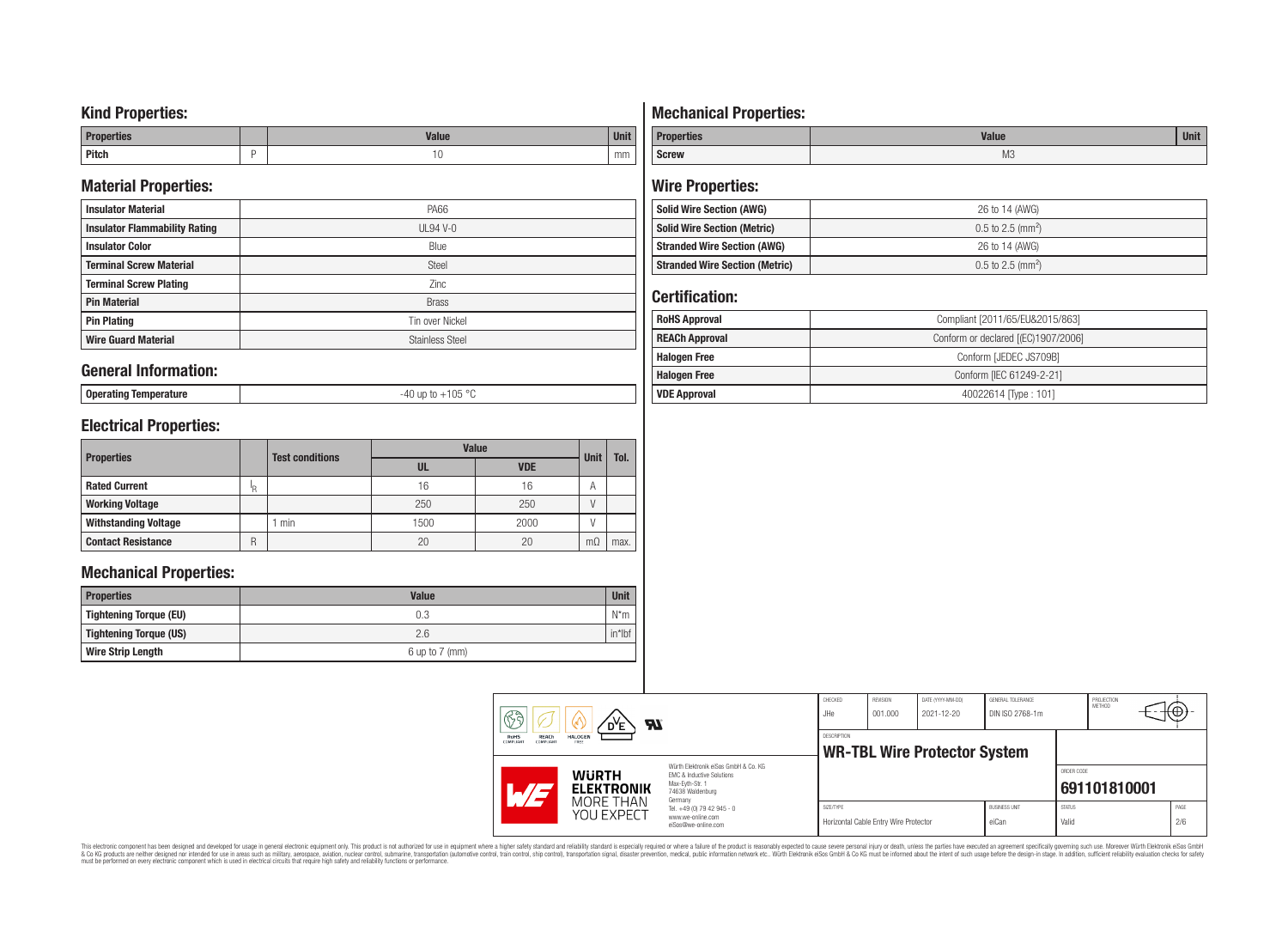## **Kind Properties:**

| <b>Properties</b> |   | <b>Moline</b><br>"dluc- | <b>Unit</b> |
|-------------------|---|-------------------------|-------------|
| <b>Pitch</b>      | - | טו                      | mm          |

## **Material Properties:**

| <b>Insulator Material</b>            | PA66                   |
|--------------------------------------|------------------------|
| <b>Insulator Flammability Rating</b> | $UL94V-0$              |
| <b>Insulator Color</b>               | Blue                   |
| <b>Terminal Screw Material</b>       | <b>Steel</b>           |
| <b>Terminal Screw Plating</b>        | Zinc                   |
| <b>Pin Material</b>                  | <b>Brass</b>           |
| <b>Pin Plating</b>                   | Tin over Nickel        |
| <b>Wire Guard Material</b>           | <b>Stainless Steel</b> |

### **General Information:**

**Operating Temperature** -40 up to +105 °C

# **Electrical Properties:**

| <b>Properties</b>           |     | <b>Test conditions</b> | <b>Value</b> | <b>Unit</b> | Tol.      |      |
|-----------------------------|-----|------------------------|--------------|-------------|-----------|------|
|                             |     |                        | UL           | <b>VDE</b>  |           |      |
| <b>Rated Current</b>        | ΙŖ. |                        | 16           | 16          | A         |      |
| <b>Working Voltage</b>      |     |                        | 250          | 250         |           |      |
| <b>Withstanding Voltage</b> |     | min                    | 1500         | 2000        |           |      |
| <b>Contact Resistance</b>   | R   |                        | 20           | 20          | $m\Omega$ | max. |

## **Mechanical Properties:**

| <b>Properties</b>        | <b>Value</b>       | <b>Unit</b> |
|--------------------------|--------------------|-------------|
| Tightening Torque (EU)   | 0.3                | $N^*m$      |
| Tightening Torque (US)   | 2.6                | $in*$ Ibf   |
| <b>Wire Strip Length</b> | $6$ up to $7$ (mm) |             |

# **Mechanical Properties:**

| <b>Properties</b> | <b>Value</b>   | <b>Unit</b> |
|-------------------|----------------|-------------|
| <b>Screw</b>      | M <sub>3</sub> |             |

## **Wire Properties:**

| <b>Solid Wire Section (AWG)</b>       | 26 to 14 (AWG)                  |
|---------------------------------------|---------------------------------|
| <b>Solid Wire Section (Metric)</b>    | $0.5$ to 2.5 (mm <sup>2</sup> ) |
| <b>Stranded Wire Section (AWG)</b>    | 26 to 14 (AWG)                  |
| <b>Stranded Wire Section (Metric)</b> | $0.5$ to 2.5 (mm <sup>2</sup> ) |

# **Certification:**

| <b>RoHS Approval</b>  | Compliant [2011/65/EU&2015/863]     |
|-----------------------|-------------------------------------|
| <b>REACh Approval</b> | Conform or declared [(EC)1907/2006] |
| <b>Halogen Free</b>   | Conform [JEDEC JS709B]              |
| <b>Halogen Free</b>   | Conform [IEC 61249-2-21]            |
| <b>VDE Approval</b>   | 40022614 Type: 101]                 |

| Ra<br>Яï<br>REACh<br>RoHS<br>HALOGEN<br>COMPLIANT<br>FREE<br>COMPLIANT |                                   | CHECKED<br>JHe                                                                                                      | REVISION<br>001.000 | DATE (YYYY-MM-DD)<br>2021-12-20       | GENERAL TOLERANCE<br>DIN ISO 2768-1m |                               | PROJECTION<br>METHOD   | ₩Ψ,          |             |
|------------------------------------------------------------------------|-----------------------------------|---------------------------------------------------------------------------------------------------------------------|---------------------|---------------------------------------|--------------------------------------|-------------------------------|------------------------|--------------|-------------|
|                                                                        |                                   | <b>DESCRIPTION</b><br><b>WR-TBL Wire Protector System</b>                                                           |                     |                                       |                                      |                               |                        |              |             |
|                                                                        | <b>WURTH</b><br><b>ELEKTRONIK</b> | Würth Elektronik eiSos GmbH & Co. KG<br>EMC & Inductive Solutions<br>Max-Evth-Str. 1<br>74638 Waldenburg<br>Germany |                     |                                       |                                      |                               | ORDER CODE             | 691101810001 |             |
|                                                                        | MORE THAN<br>YOU EXPECT           | Tel. +49 (0) 79 42 945 - 0<br>www.we-online.com<br>eiSos@we-online.com                                              | SIZE/TYPE           | Horizontal Cable Entry Wire Protector |                                      | <b>BUSINESS UNIT</b><br>eiCan | <b>STATUS</b><br>Valid |              | PAGE<br>2/6 |

This electronic component has been designed and developed for usage in general electronic equipment only. This product is not authorized for subserved requipment where a higher selection equipment where a higher selection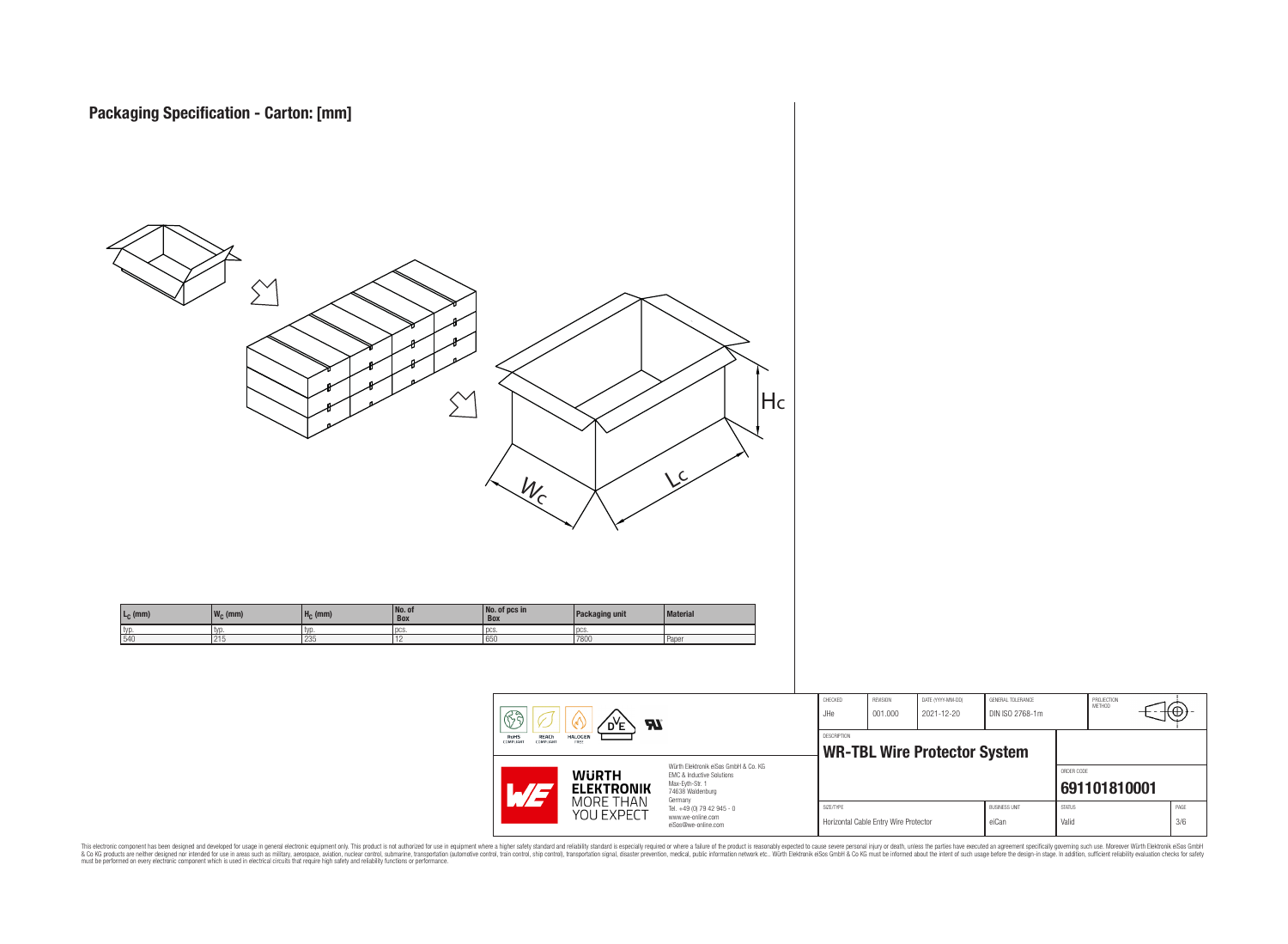

This electronic component has been designed and developed for usage in general electronic equipment only. This product is not authorized for subserved requipment where a higher selection equipment where a higher selection

PROJECTION<br>METHOD

ю

**[691101810001](https://www.we-online.com/catalog/en/article/691101810001)**

ORDER CODE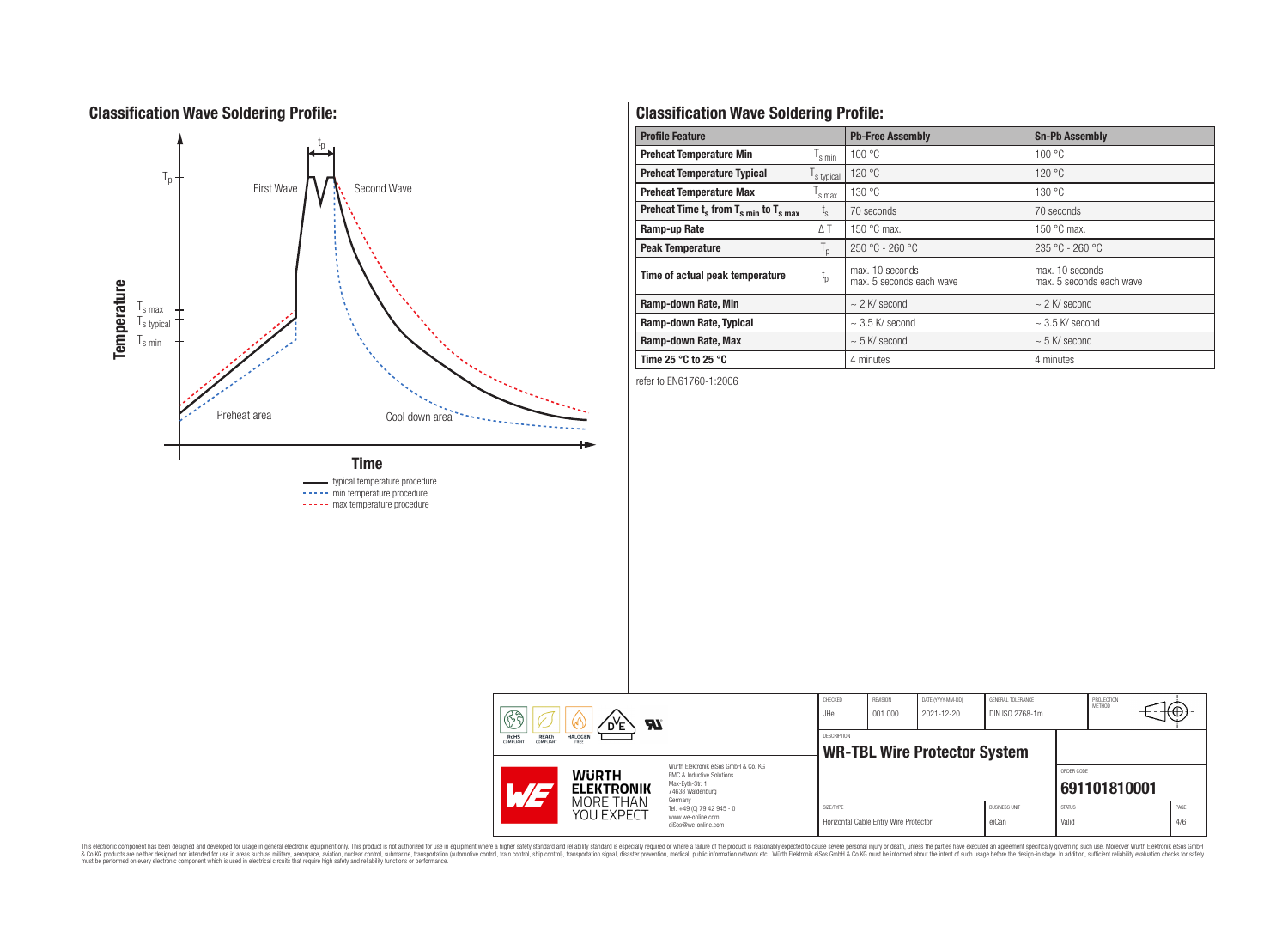# **Classification Wave Soldering Profile:**



----- min temperature procedure ----- max temperature procedure

# **Classification Wave Soldering Profile:**

| <b>Profile Feature</b>                             |                               | <b>Pb-Free Assembly</b>                     | <b>Sn-Pb Assembly</b>                       |
|----------------------------------------------------|-------------------------------|---------------------------------------------|---------------------------------------------|
| <b>Preheat Temperature Min</b>                     | $\mathsf{I}_{\mathsf{S}}$ min | 100 °C                                      | 100 °C                                      |
| <b>Preheat Temperature Typical</b>                 | s typical                     | 120 °C                                      | 120 °C                                      |
| <b>Preheat Temperature Max</b>                     | s max                         | 130 °C                                      | 130 °C                                      |
| Preheat Time $t_s$ from $T_{s,min}$ to $T_{s,max}$ | $L_{\rm S}$                   | 70 seconds                                  | 70 seconds                                  |
| Ramp-up Rate                                       | $\Delta T$                    | 150 $\degree$ C max.                        | 150 $\degree$ C max.                        |
| <b>Peak Temperature</b>                            | $T_{\rm p}$                   | $250 °C - 260 °C$                           | $235 °C - 260 °C$                           |
| Time of actual peak temperature                    | $t_{p}$                       | max. 10 seconds<br>max. 5 seconds each wave | max. 10 seconds<br>max. 5 seconds each wave |
| Ramp-down Rate, Min                                |                               | $\sim$ 2 K/ second                          | $\sim$ 2 K/ second                          |
| Ramp-down Rate, Typical                            |                               | $\sim$ 3.5 K/ second                        | $\sim$ 3.5 K/ second                        |
| Ramp-down Rate, Max                                |                               | $\sim$ 5 K/ second                          | $\sim$ 5 K/ second                          |
| Time 25 $^{\circ}$ C to 25 $^{\circ}$ C            |                               | 4 minutes                                   | 4 minutes                                   |

refer to EN61760-1:2006

|  | ୡୠ<br>Яï<br>D <sup>Y</sup> E<br>REACh<br><b>HALOGEN</b><br>RoHS<br>FREE<br><b>COMPLIANT</b><br>COMPLIANT<br>Würth Elektronik eiSos GmbH & Co. KG<br><b>WURTH</b><br>EMC & Inductive Solutions<br>Max-Evth-Str. 1<br><b>ELEKTRONIK</b><br>$\mathcal{A}/\gamma$<br>74638 Waldenburg |                                                                                   | CHECKED<br>JHe                                     | <b>REVISION</b><br>001.000            | DATE (YYYY-MM-DD)<br>2021-12-20 | GENERAL TOLERANCE<br>DIN ISO 2768-1m |                        | PROJECTION<br>METHOD | ₩Ψ           |
|--|-----------------------------------------------------------------------------------------------------------------------------------------------------------------------------------------------------------------------------------------------------------------------------------|-----------------------------------------------------------------------------------|----------------------------------------------------|---------------------------------------|---------------------------------|--------------------------------------|------------------------|----------------------|--------------|
|  |                                                                                                                                                                                                                                                                                   |                                                                                   | DESCRIPTION<br><b>WR-TBL Wire Protector System</b> |                                       |                                 |                                      |                        |                      |              |
|  |                                                                                                                                                                                                                                                                                   |                                                                                   |                                                    |                                       |                                 |                                      |                        | ORDER CODE           | 691101810001 |
|  | MORE THAN<br>YOU EXPECT                                                                                                                                                                                                                                                           | Germany<br>Tel. +49 (0) 79 42 945 - 0<br>www.we-online.com<br>eiSos@we-online.com | SIZE/TYPE                                          | Horizontal Cable Entry Wire Protector |                                 | <b>BUSINESS UNIT</b><br>eiCan        | <b>STATUS</b><br>Valid |                      | PAGE<br>4/6  |

This electronic component has been designed and developed for usage in general electronic equipment only. This product is not authorized for subserved requipment where a higher selection equipment where a higher selection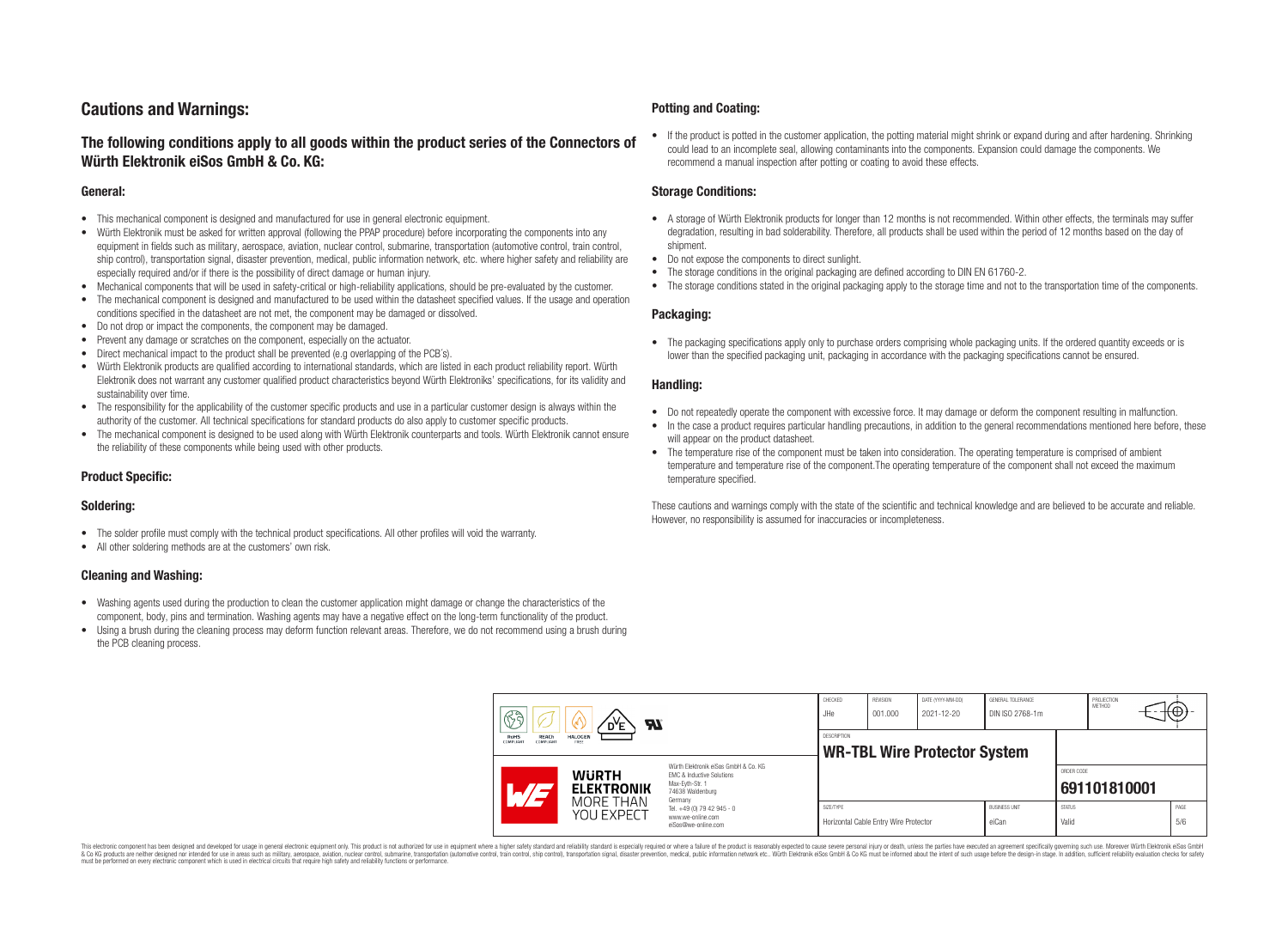# **Cautions and Warnings:**

## **The following conditions apply to all goods within the product series of the Connectors of Würth Elektronik eiSos GmbH & Co. KG:**

#### **General:**

- This mechanical component is designed and manufactured for use in general electronic equipment.
- Würth Elektronik must be asked for written approval (following the PPAP procedure) before incorporating the components into any equipment in fields such as military, aerospace, aviation, nuclear control, submarine, transportation (automotive control, train control, ship control), transportation signal, disaster prevention, medical, public information network, etc. where higher safety and reliability are especially required and/or if there is the possibility of direct damage or human injury.
- Mechanical components that will be used in safety-critical or high-reliability applications, should be pre-evaluated by the customer.
- The mechanical component is designed and manufactured to be used within the datasheet specified values. If the usage and operation conditions specified in the datasheet are not met, the component may be damaged or dissolved.
- Do not drop or impact the components, the component may be damaged.
- Prevent any damage or scratches on the component, especially on the actuator.
- Direct mechanical impact to the product shall be prevented (e.g overlapping of the PCB's).
- Würth Elektronik products are qualified according to international standards, which are listed in each product reliability report. Würth Elektronik does not warrant any customer qualified product characteristics beyond Würth Elektroniks' specifications, for its validity and sustainability over time.
- The responsibility for the applicability of the customer specific products and use in a particular customer design is always within the authority of the customer. All technical specifications for standard products do also apply to customer specific products.
- The mechanical component is designed to be used along with Würth Elektronik counterparts and tools. Würth Elektronik cannot ensure the reliability of these components while being used with other products.

### **Product Specific:**

#### **Soldering:**

- The solder profile must comply with the technical product specifications. All other profiles will void the warranty.
- All other soldering methods are at the customers' own risk.

#### **Cleaning and Washing:**

- Washing agents used during the production to clean the customer application might damage or change the characteristics of the component, body, pins and termination. Washing agents may have a negative effect on the long-term functionality of the product.
- Using a brush during the cleaning process may deform function relevant areas. Therefore, we do not recommend using a brush during the PCB cleaning process.

#### **Potting and Coating:**

• If the product is potted in the customer application, the potting material might shrink or expand during and after hardening. Shrinking could lead to an incomplete seal, allowing contaminants into the components. Expansion could damage the components. We recommend a manual inspection after potting or coating to avoid these effects.

#### **Storage Conditions:**

- A storage of Würth Elektronik products for longer than 12 months is not recommended. Within other effects, the terminals may suffer degradation, resulting in bad solderability. Therefore, all products shall be used within the period of 12 months based on the day of shipment.
- Do not expose the components to direct sunlight.
- The storage conditions in the original packaging are defined according to DIN EN 61760-2.
- The storage conditions stated in the original packaging apply to the storage time and not to the transportation time of the components.

#### **Packaging:**

• The packaging specifications apply only to purchase orders comprising whole packaging units. If the ordered quantity exceeds or is lower than the specified packaging unit, packaging in accordance with the packaging specifications cannot be ensured.

#### **Handling:**

- Do not repeatedly operate the component with excessive force. It may damage or deform the component resulting in malfunction.
- In the case a product requires particular handling precautions, in addition to the general recommendations mentioned here before, these will appear on the product datasheet
- The temperature rise of the component must be taken into consideration. The operating temperature is comprised of ambient temperature and temperature rise of the component.The operating temperature of the component shall not exceed the maximum temperature specified.

These cautions and warnings comply with the state of the scientific and technical knowledge and are believed to be accurate and reliable. However, no responsibility is assumed for inaccuracies or incompleteness.

| B<br><b>Al</b><br>RoHS<br><b>HALOGEN</b><br><b>REACh</b><br>COMPLIANT<br>COMPLIANT<br>FREE |                                                                                                   | CHECKED<br>JHe                                                                                                                 | REVISION<br>001.000                                | DATE (YYYY-MM-DD)<br>2021-12-20 | GENERAL TOLERANCE<br>DIN ISO 2768-1m |                               | PROJECTION<br>METHOD   | (⊕           |             |
|--------------------------------------------------------------------------------------------|---------------------------------------------------------------------------------------------------|--------------------------------------------------------------------------------------------------------------------------------|----------------------------------------------------|---------------------------------|--------------------------------------|-------------------------------|------------------------|--------------|-------------|
|                                                                                            |                                                                                                   | <b>DESCRIPTION</b><br><b>WR-TBL Wire Protector System</b>                                                                      |                                                    |                                 |                                      |                               |                        |              |             |
|                                                                                            | <b>WURTH</b><br><b>ELEKTRONIK</b>                                                                 | Würth Elektronik eiSos GmbH & Co. KG<br><b>EMC &amp; Inductive Solutions</b><br>Max-Eyth-Str. 1<br>74638 Waldenburg<br>Germany |                                                    |                                 |                                      |                               | ORDER CODE             | 691101810001 |             |
|                                                                                            | MORE THAN<br>Tel. +49 (0) 79 42 945 - 0<br>YOU EXPECT<br>www.we-online.com<br>eiSos@we-online.com |                                                                                                                                | SIZE/TYPE<br>Horizontal Cable Entry Wire Protector |                                 |                                      | <b>BUSINESS UNIT</b><br>eiCan | <b>STATUS</b><br>Valid |              | PAGE<br>5/6 |

This electronic component has been designed and developed for usage in general electronic equipment only. This product is not authorized for use in equipment where a higher safety standard and reliability standard si espec & Ook product a label and the membed of the seasuch as marked and as which such a membed and the such assume that income in the seasuch and the simulation and the such assume that include to the such a membed and the such